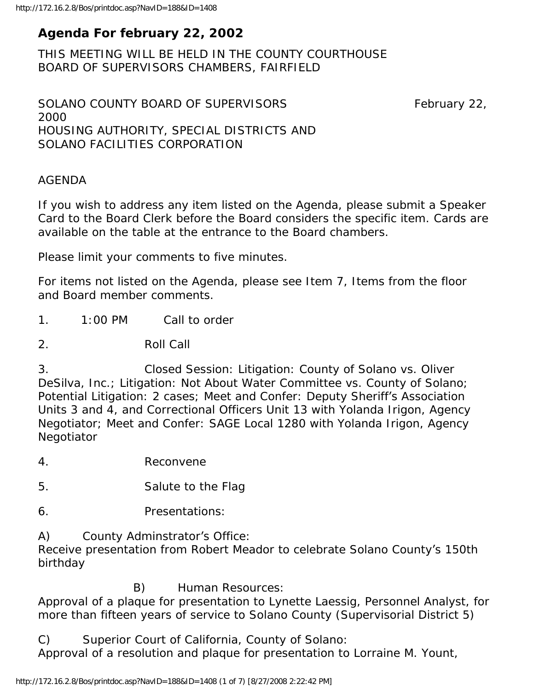# **Agenda For february 22, 2002**

THIS MEETING WILL BE HELD IN THE COUNTY COURTHOUSE BOARD OF SUPERVISORS CHAMBERS, FAIRFIELD

SOLANO COUNTY BOARD OF SUPERVISORS February 22, 2000 HOUSING AUTHORITY, SPECIAL DISTRICTS AND SOLANO FACILITIES CORPORATION

#### AGENDA

If you wish to address any item listed on the Agenda, please submit a Speaker Card to the Board Clerk before the Board considers the specific item. Cards are available on the table at the entrance to the Board chambers.

Please limit your comments to five minutes.

For items not listed on the Agenda, please see Item 7, Items from the floor and Board member comments.

1. 1:00 PM Call to order

2. Roll Call

3. Closed Session: Litigation: County of Solano vs. Oliver DeSilva, Inc.; Litigation: Not About Water Committee vs. County of Solano; Potential Litigation: 2 cases; Meet and Confer: Deputy Sheriff's Association Units 3 and 4, and Correctional Officers Unit 13 with Yolanda Irigon, Agency Negotiator; Meet and Confer: SAGE Local 1280 with Yolanda Irigon, Agency **Negotiator** 

4. Reconvene

5. Salute to the Flag

- 6. Presentations:
- A) County Adminstrator's Office:

Receive presentation from Robert Meador to celebrate Solano County's 150th birthday

B) Human Resources:

Approval of a plaque for presentation to Lynette Laessig, Personnel Analyst, for more than fifteen years of service to Solano County (Supervisorial District 5)

C) Superior Court of California, County of Solano:

Approval of a resolution and plaque for presentation to Lorraine M. Yount,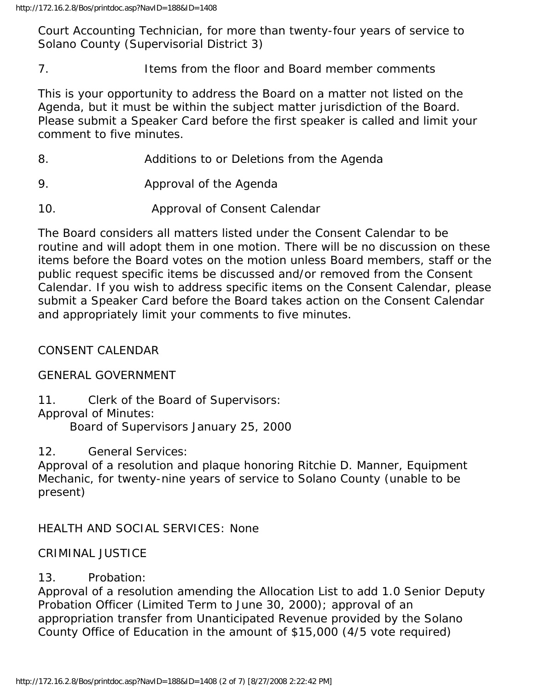Court Accounting Technician, for more than twenty-four years of service to Solano County (Supervisorial District 3)

7. Items from the floor and Board member comments

This is your opportunity to address the Board on a matter not listed on the Agenda, but it must be within the subject matter jurisdiction of the Board. Please submit a Speaker Card before the first speaker is called and limit your comment to five minutes.

- 8. Additions to or Deletions from the Agenda
- 9. Approval of the Agenda
- 10. Approval of Consent Calendar

The Board considers all matters listed under the Consent Calendar to be routine and will adopt them in one motion. There will be no discussion on these items before the Board votes on the motion unless Board members, staff or the public request specific items be discussed and/or removed from the Consent Calendar. If you wish to address specific items on the Consent Calendar, please submit a Speaker Card before the Board takes action on the Consent Calendar and appropriately limit your comments to five minutes.

### CONSENT CALENDAR

#### GENERAL GOVERNMENT

11. Clerk of the Board of Supervisors: Approval of Minutes: Board of Supervisors January 25, 2000

12. General Services:

Approval of a resolution and plaque honoring Ritchie D. Manner, Equipment Mechanic, for twenty-nine years of service to Solano County (unable to be present)

### HEALTH AND SOCIAL SERVICES: None

#### CRIMINAL JUSTICE

### 13. Probation:

Approval of a resolution amending the Allocation List to add 1.0 Senior Deputy Probation Officer (Limited Term to June 30, 2000); approval of an appropriation transfer from Unanticipated Revenue provided by the Solano County Office of Education in the amount of \$15,000 (4/5 vote required)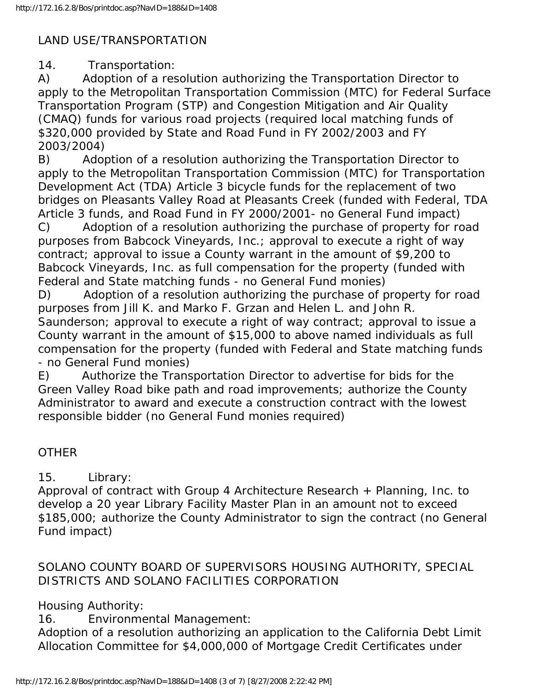### LAND USE/TRANSPORTATION

14. Transportation:

A) Adoption of a resolution authorizing the Transportation Director to apply to the Metropolitan Transportation Commission (MTC) for Federal Surface Transportation Program (STP) and Congestion Mitigation and Air Quality (CMAQ) funds for various road projects (required local matching funds of \$320,000 provided by State and Road Fund in FY 2002/2003 and FY 2003/2004)

B) Adoption of a resolution authorizing the Transportation Director to apply to the Metropolitan Transportation Commission (MTC) for Transportation Development Act (TDA) Article 3 bicycle funds for the replacement of two bridges on Pleasants Valley Road at Pleasants Creek (funded with Federal, TDA Article 3 funds, and Road Fund in FY 2000/2001- no General Fund impact)

C) Adoption of a resolution authorizing the purchase of property for road purposes from Babcock Vineyards, Inc.; approval to execute a right of way contract; approval to issue a County warrant in the amount of \$9,200 to Babcock Vineyards, Inc. as full compensation for the property (funded with Federal and State matching funds - no General Fund monies)

D) Adoption of a resolution authorizing the purchase of property for road purposes from Jill K. and Marko F. Grzan and Helen L. and John R. Saunderson; approval to execute a right of way contract; approval to issue a County warrant in the amount of \$15,000 to above named individuals as full compensation for the property (funded with Federal and State matching funds - no General Fund monies)

E) Authorize the Transportation Director to advertise for bids for the Green Valley Road bike path and road improvements; authorize the County Administrator to award and execute a construction contract with the lowest responsible bidder (no General Fund monies required)

#### **OTHER**

### 15. Library:

Approval of contract with Group 4 Architecture Research + Planning, Inc. to develop a 20 year Library Facility Master Plan in an amount not to exceed \$185,000; authorize the County Administrator to sign the contract (no General Fund impact)

### SOLANO COUNTY BOARD OF SUPERVISORS HOUSING AUTHORITY, SPECIAL DISTRICTS AND SOLANO FACILITIES CORPORATION

## Housing Authority:

16. Environmental Management:

Adoption of a resolution authorizing an application to the California Debt Limit Allocation Committee for \$4,000,000 of Mortgage Credit Certificates under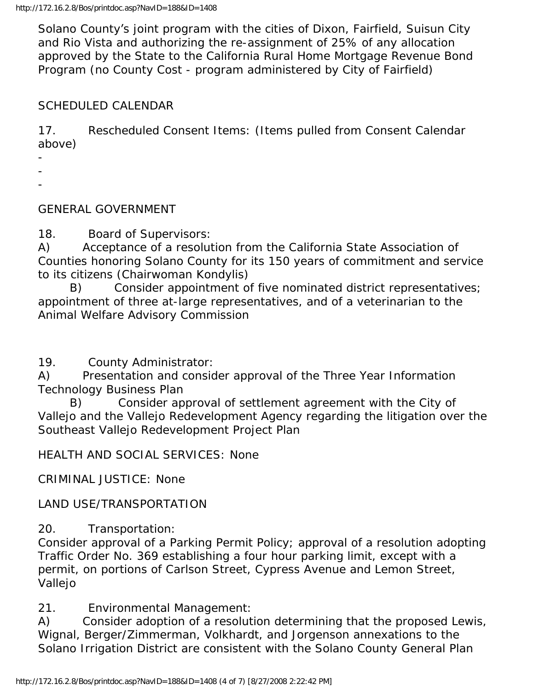Solano County's joint program with the cities of Dixon, Fairfield, Suisun City and Rio Vista and authorizing the re-assignment of 25% of any allocation approved by the State to the California Rural Home Mortgage Revenue Bond Program (no County Cost - program administered by City of Fairfield)

### SCHEDULED CALENDAR

17. Rescheduled Consent Items: (Items pulled from Consent Calendar above)

- -
- -

### GENERAL GOVERNMENT

18. Board of Supervisors:

A) Acceptance of a resolution from the California State Association of Counties honoring Solano County for its 150 years of commitment and service to its citizens (Chairwoman Kondylis)

 B) Consider appointment of five nominated district representatives; appointment of three at-large representatives, and of a veterinarian to the Animal Welfare Advisory Commission

19. County Administrator:

A) Presentation and consider approval of the Three Year Information Technology Business Plan

 B) Consider approval of settlement agreement with the City of Vallejo and the Vallejo Redevelopment Agency regarding the litigation over the Southeast Vallejo Redevelopment Project Plan

HEALTH AND SOCIAL SERVICES: None

CRIMINAL JUSTICE: None

LAND USE/TRANSPORTATION

20. Transportation:

Consider approval of a Parking Permit Policy; approval of a resolution adopting Traffic Order No. 369 establishing a four hour parking limit, except with a permit, on portions of Carlson Street, Cypress Avenue and Lemon Street, Vallejo

21. Environmental Management:

A) Consider adoption of a resolution determining that the proposed Lewis, Wignal, Berger/Zimmerman, Volkhardt, and Jorgenson annexations to the Solano Irrigation District are consistent with the Solano County General Plan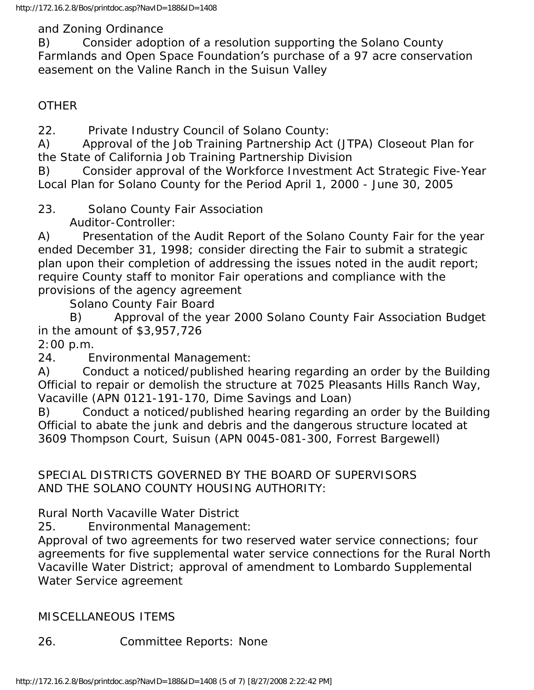and Zoning Ordinance

B) Consider adoption of a resolution supporting the Solano County Farmlands and Open Space Foundation's purchase of a 97 acre conservation easement on the Valine Ranch in the Suisun Valley

### **OTHER**

22. Private Industry Council of Solano County:

A) Approval of the Job Training Partnership Act (JTPA) Closeout Plan for the State of California Job Training Partnership Division

B) Consider approval of the Workforce Investment Act Strategic Five-Year Local Plan for Solano County for the Period April 1, 2000 - June 30, 2005

23. Solano County Fair Association

Auditor-Controller:

A) Presentation of the Audit Report of the Solano County Fair for the year ended December 31, 1998; consider directing the Fair to submit a strategic plan upon their completion of addressing the issues noted in the audit report; require County staff to monitor Fair operations and compliance with the provisions of the agency agreement

Solano County Fair Board

 B) Approval of the year 2000 Solano County Fair Association Budget in the amount of \$3,957,726

2:00 p.m.

24. Environmental Management:

A) Conduct a noticed/published hearing regarding an order by the Building Official to repair or demolish the structure at 7025 Pleasants Hills Ranch Way, Vacaville (APN 0121-191-170, Dime Savings and Loan)

B) Conduct a noticed/published hearing regarding an order by the Building Official to abate the junk and debris and the dangerous structure located at 3609 Thompson Court, Suisun (APN 0045-081-300, Forrest Bargewell)

SPECIAL DISTRICTS GOVERNED BY THE BOARD OF SUPERVISORS AND THE SOLANO COUNTY HOUSING AUTHORITY:

Rural North Vacaville Water District

25. Environmental Management:

Approval of two agreements for two reserved water service connections; four agreements for five supplemental water service connections for the Rural North Vacaville Water District; approval of amendment to Lombardo Supplemental Water Service agreement

### MISCELLANEOUS ITEMS

26. Committee Reports: None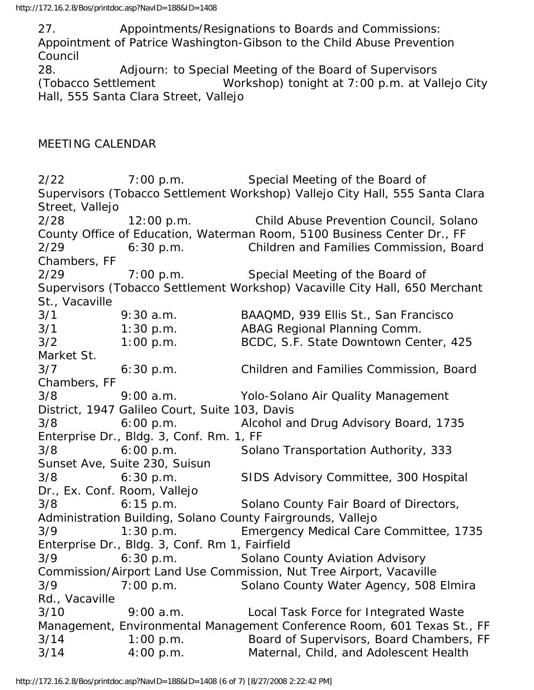27. Appointments/Resignations to Boards and Commissions: Appointment of Patrice Washington-Gibson to the Child Abuse Prevention Council

28. Adjourn: to Special Meeting of the Board of Supervisors (Tobacco Settlement Workshop) tonight at 7:00 p.m. at Vallejo City Hall, 555 Santa Clara Street, Vallejo

#### MEETING CALENDAR

2/22 7:00 p.m. Special Meeting of the Board of Supervisors (Tobacco Settlement Workshop) Vallejo City Hall, 555 Santa Clara Street, Vallejo 2/28 12:00 p.m. Child Abuse Prevention Council, Solano County Office of Education, Waterman Room, 5100 Business Center Dr., FF 2/29 6:30 p.m. Children and Families Commission, Board Chambers, FF 2/29 7:00 p.m. Special Meeting of the Board of Supervisors (Tobacco Settlement Workshop) Vacaville City Hall, 650 Merchant St., Vacaville 3/1 9:30 a.m. BAAQMD, 939 Ellis St., San Francisco 3/1 1:30 p.m. ABAG Regional Planning Comm. 3/2 1:00 p.m. BCDC, S.F. State Downtown Center, 425 Market St. 3/7 6:30 p.m. Children and Families Commission, Board Chambers, FF 3/8 9:00 a.m. Yolo-Solano Air Quality Management District, 1947 Galileo Court, Suite 103, Davis 3/8 6:00 p.m. Alcohol and Drug Advisory Board, 1735 Enterprise Dr., Bldg. 3, Conf. Rm. 1, FF 3/8 6:00 p.m. Solano Transportation Authority, 333 Sunset Ave, Suite 230, Suisun 3/8 6:30 p.m. SIDS Advisory Committee, 300 Hospital Dr., Ex. Conf. Room, Vallejo 3/8 6:15 p.m. Solano County Fair Board of Directors, Administration Building, Solano County Fairgrounds, Vallejo 3/9 1:30 p.m. Emergency Medical Care Committee, 1735 Enterprise Dr., Bldg. 3, Conf. Rm 1, Fairfield 3/9 6:30 p.m. Solano County Aviation Advisory Commission/Airport Land Use Commission, Nut Tree Airport, Vacaville 3/9 7:00 p.m. Solano County Water Agency, 508 Elmira Rd., Vacaville 3/10 9:00 a.m. Local Task Force for Integrated Waste Management, Environmental Management Conference Room, 601 Texas St., FF 3/14 1:00 p.m. Board of Supervisors, Board Chambers, FF 3/14 4:00 p.m. Maternal, Child, and Adolescent Health